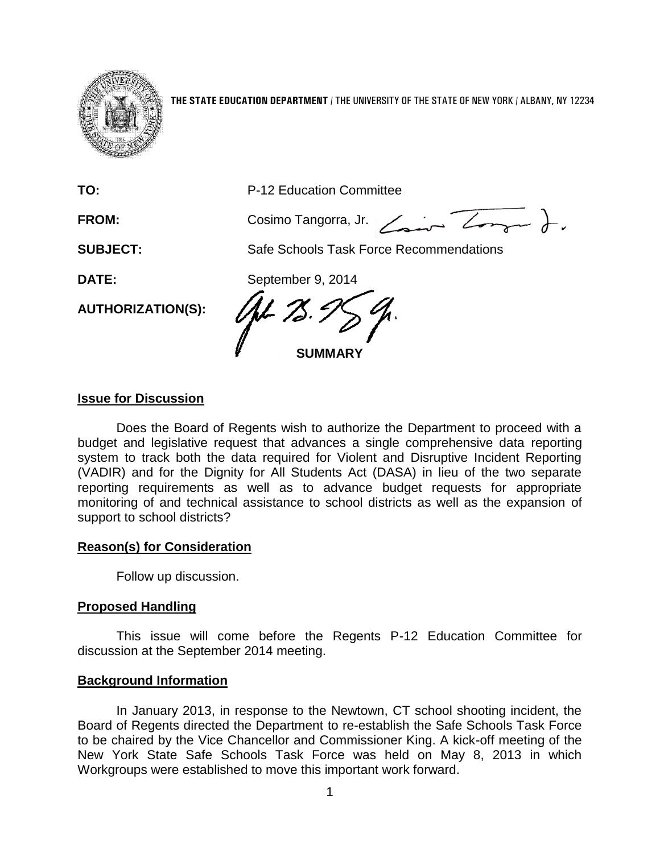

**THE STATE EDUCATION DEPARTMENT** / THE UNIVERSITY OF THE STATE OF NEW YORK / ALBANY, NY 12234

| TO:                      | P-12 Education Committee                |
|--------------------------|-----------------------------------------|
| FROM:                    | Cosimo Tangorra, Jr.                    |
| <b>SUBJECT:</b>          | Safe Schools Task Force Recommendations |
| DATE:                    | September 9, 2014                       |
| <b>AUTHORIZATION(S):</b> | <b>SUMMARY</b>                          |

#### **Issue for Discussion**

Does the Board of Regents wish to authorize the Department to proceed with a budget and legislative request that advances a single comprehensive data reporting system to track both the data required for Violent and Disruptive Incident Reporting (VADIR) and for the Dignity for All Students Act (DASA) in lieu of the two separate reporting requirements as well as to advance budget requests for appropriate monitoring of and technical assistance to school districts as well as the expansion of support to school districts?

#### **Reason(s) for Consideration**

Follow up discussion.

#### **Proposed Handling**

This issue will come before the Regents P-12 Education Committee for discussion at the September 2014 meeting.

#### **Background Information**

In January 2013, in response to the Newtown, CT school shooting incident, the Board of Regents directed the Department to re-establish the Safe Schools Task Force to be chaired by the Vice Chancellor and Commissioner King. A kick-off meeting of the New York State Safe Schools Task Force was held on May 8, 2013 in which Workgroups were established to move this important work forward.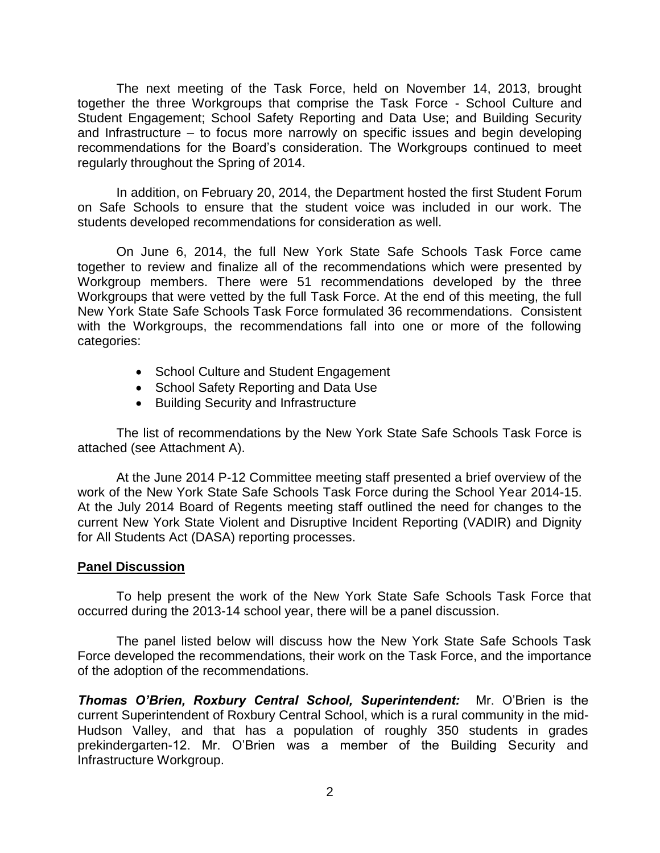The next meeting of the Task Force, held on November 14, 2013, brought together the three Workgroups that comprise the Task Force - School Culture and Student Engagement; School Safety Reporting and Data Use; and Building Security and Infrastructure – to focus more narrowly on specific issues and begin developing recommendations for the Board's consideration. The Workgroups continued to meet regularly throughout the Spring of 2014.

In addition, on February 20, 2014, the Department hosted the first Student Forum on Safe Schools to ensure that the student voice was included in our work. The students developed recommendations for consideration as well.

On June 6, 2014, the full New York State Safe Schools Task Force came together to review and finalize all of the recommendations which were presented by Workgroup members. There were 51 recommendations developed by the three Workgroups that were vetted by the full Task Force. At the end of this meeting, the full New York State Safe Schools Task Force formulated 36 recommendations. Consistent with the Workgroups, the recommendations fall into one or more of the following categories:

- School Culture and Student Engagement
- School Safety Reporting and Data Use
- Building Security and Infrastructure

The list of recommendations by the New York State Safe Schools Task Force is attached (see Attachment A).

At the June 2014 P-12 Committee meeting staff presented a brief overview of the work of the New York State Safe Schools Task Force during the School Year 2014-15. At the July 2014 Board of Regents meeting staff outlined the need for changes to the current New York State Violent and Disruptive Incident Reporting (VADIR) and Dignity for All Students Act (DASA) reporting processes.

#### **Panel Discussion**

To help present the work of the New York State Safe Schools Task Force that occurred during the 2013-14 school year, there will be a panel discussion.

The panel listed below will discuss how the New York State Safe Schools Task Force developed the recommendations, their work on the Task Force, and the importance of the adoption of the recommendations.

*Thomas O'Brien, Roxbury Central School, Superintendent:* Mr. O'Brien is the current Superintendent of Roxbury Central School, which is a rural community in the mid-Hudson Valley, and that has a population of roughly 350 students in grades prekindergarten-12. Mr. O'Brien was a member of the Building Security and Infrastructure Workgroup.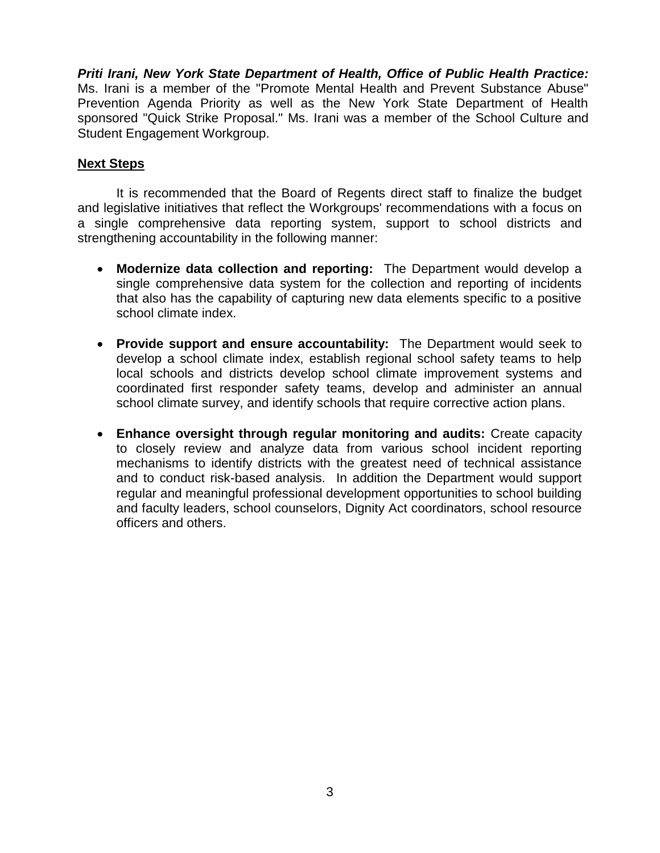*Priti Irani, New York State Department of Health, Office of Public Health Practice:*  Ms. Irani is a member of the "Promote Mental Health and Prevent Substance Abuse" Prevention Agenda Priority as well as the New York State Department of Health sponsored "Quick Strike Proposal." Ms. Irani was a member of the School Culture and Student Engagement Workgroup.

### **Next Steps**

It is recommended that the Board of Regents direct staff to finalize the budget and legislative initiatives that reflect the Workgroups' recommendations with a focus on a single comprehensive data reporting system, support to school districts and strengthening accountability in the following manner:

- **Modernize data collection and reporting:** The Department would develop a single comprehensive data system for the collection and reporting of incidents that also has the capability of capturing new data elements specific to a positive school climate index.
- **Provide support and ensure accountability:** The Department would seek to develop a school climate index, establish regional school safety teams to help local schools and districts develop school climate improvement systems and coordinated first responder safety teams, develop and administer an annual school climate survey, and identify schools that require corrective action plans.
- **Enhance oversight through regular monitoring and audits:** Create capacity to closely review and analyze data from various school incident reporting mechanisms to identify districts with the greatest need of technical assistance and to conduct risk-based analysis. In addition the Department would support regular and meaningful professional development opportunities to school building and faculty leaders, school counselors, Dignity Act coordinators, school resource officers and others.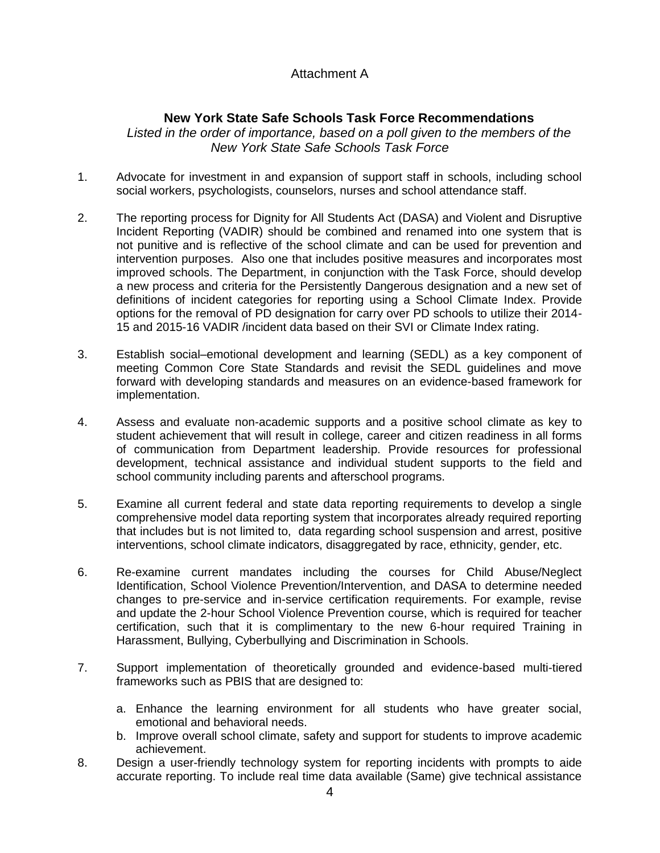## Attachment A

# **New York State Safe Schools Task Force Recommendations**

Listed in the order of importance, based on a poll given to the members of the *New York State Safe Schools Task Force*

- 1. Advocate for investment in and expansion of support staff in schools, including school social workers, psychologists, counselors, nurses and school attendance staff.
- 2. The reporting process for Dignity for All Students Act (DASA) and Violent and Disruptive Incident Reporting (VADIR) should be combined and renamed into one system that is not punitive and is reflective of the school climate and can be used for prevention and intervention purposes. Also one that includes positive measures and incorporates most improved schools. The Department, in conjunction with the Task Force, should develop a new process and criteria for the Persistently Dangerous designation and a new set of definitions of incident categories for reporting using a School Climate Index. Provide options for the removal of PD designation for carry over PD schools to utilize their 2014- 15 and 2015-16 VADIR /incident data based on their SVI or Climate Index rating.
- 3. Establish social–emotional development and learning (SEDL) as a key component of meeting Common Core State Standards and revisit the SEDL guidelines and move forward with developing standards and measures on an evidence-based framework for implementation.
- 4. Assess and evaluate non-academic supports and a positive school climate as key to student achievement that will result in college, career and citizen readiness in all forms of communication from Department leadership. Provide resources for professional development, technical assistance and individual student supports to the field and school community including parents and afterschool programs.
- 5. Examine all current federal and state data reporting requirements to develop a single comprehensive model data reporting system that incorporates already required reporting that includes but is not limited to, data regarding school suspension and arrest, positive interventions, school climate indicators, disaggregated by race, ethnicity, gender, etc.
- 6. Re-examine current mandates including the courses for Child Abuse/Neglect Identification, School Violence Prevention/Intervention, and DASA to determine needed changes to pre-service and in-service certification requirements. For example, revise and update the 2-hour School Violence Prevention course, which is required for teacher certification, such that it is complimentary to the new 6-hour required Training in Harassment, Bullying, Cyberbullying and Discrimination in Schools.
- 7. Support implementation of theoretically grounded and evidence-based multi-tiered frameworks such as PBIS that are designed to:
	- a. Enhance the learning environment for all students who have greater social, emotional and behavioral needs.
	- b. Improve overall school climate, safety and support for students to improve academic achievement.
- 8. Design a user-friendly technology system for reporting incidents with prompts to aide accurate reporting. To include real time data available (Same) give technical assistance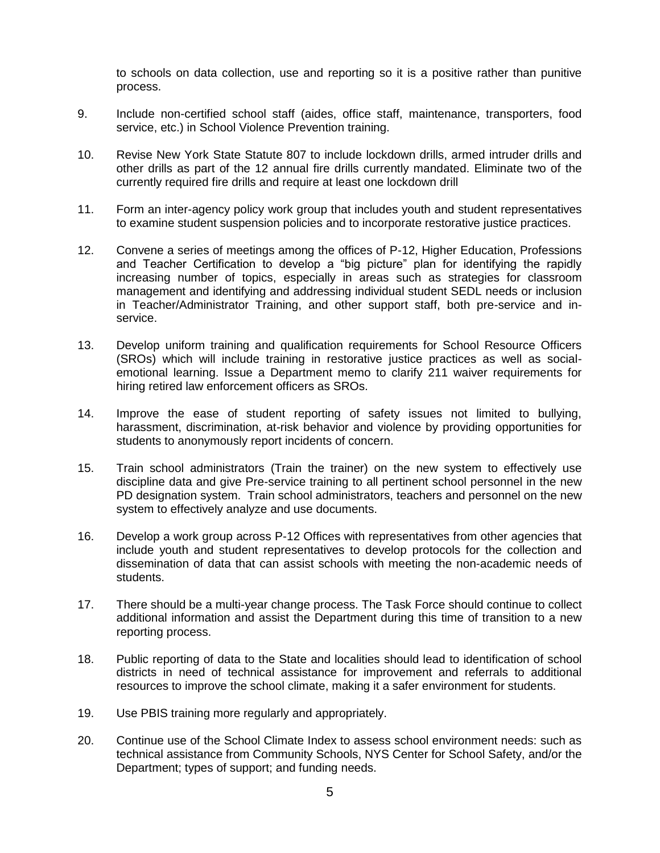to schools on data collection, use and reporting so it is a positive rather than punitive process.

- 9. Include non-certified school staff (aides, office staff, maintenance, transporters, food service, etc.) in School Violence Prevention training.
- 10. Revise New York State Statute 807 to include lockdown drills, armed intruder drills and other drills as part of the 12 annual fire drills currently mandated. Eliminate two of the currently required fire drills and require at least one lockdown drill
- 11. Form an inter-agency policy work group that includes youth and student representatives to examine student suspension policies and to incorporate restorative justice practices.
- 12. Convene a series of meetings among the offices of P-12, Higher Education, Professions and Teacher Certification to develop a "big picture" plan for identifying the rapidly increasing number of topics, especially in areas such as strategies for classroom management and identifying and addressing individual student SEDL needs or inclusion in Teacher/Administrator Training, and other support staff, both pre-service and inservice.
- 13. Develop uniform training and qualification requirements for School Resource Officers (SROs) which will include training in restorative justice practices as well as socialemotional learning. Issue a Department memo to clarify 211 waiver requirements for hiring retired law enforcement officers as SROs.
- 14. Improve the ease of student reporting of safety issues not limited to bullying, harassment, discrimination, at-risk behavior and violence by providing opportunities for students to anonymously report incidents of concern.
- 15. Train school administrators (Train the trainer) on the new system to effectively use discipline data and give Pre-service training to all pertinent school personnel in the new PD designation system. Train school administrators, teachers and personnel on the new system to effectively analyze and use documents.
- 16. Develop a work group across P-12 Offices with representatives from other agencies that include youth and student representatives to develop protocols for the collection and dissemination of data that can assist schools with meeting the non-academic needs of students.
- 17. There should be a multi-year change process. The Task Force should continue to collect additional information and assist the Department during this time of transition to a new reporting process.
- 18. Public reporting of data to the State and localities should lead to identification of school districts in need of technical assistance for improvement and referrals to additional resources to improve the school climate, making it a safer environment for students.
- 19. Use PBIS training more regularly and appropriately.
- 20. Continue use of the School Climate Index to assess school environment needs: such as technical assistance from Community Schools, NYS Center for School Safety, and/or the Department; types of support; and funding needs.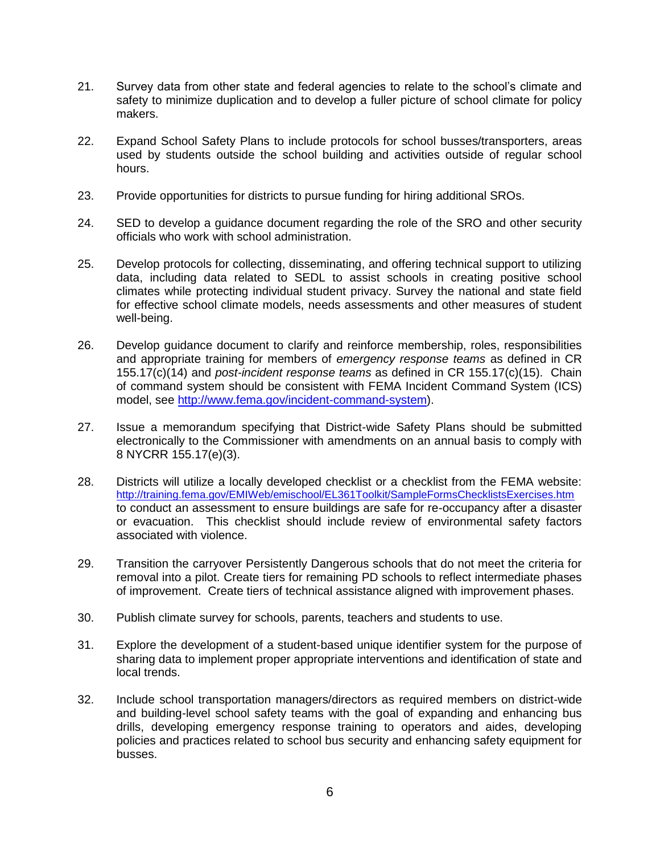- 21. Survey data from other state and federal agencies to relate to the school's climate and safety to minimize duplication and to develop a fuller picture of school climate for policy makers.
- 22. Expand School Safety Plans to include protocols for school busses/transporters, areas used by students outside the school building and activities outside of regular school hours.
- 23. Provide opportunities for districts to pursue funding for hiring additional SROs.
- 24. SED to develop a guidance document regarding the role of the SRO and other security officials who work with school administration.
- 25. Develop protocols for collecting, disseminating, and offering technical support to utilizing data, including data related to SEDL to assist schools in creating positive school climates while protecting individual student privacy. Survey the national and state field for effective school climate models, needs assessments and other measures of student well-being.
- 26. Develop guidance document to clarify and reinforce membership, roles, responsibilities and appropriate training for members of *emergency response teams* as defined in CR 155.17(c)(14) and *post-incident response teams* as defined in CR 155.17(c)(15). Chain of command system should be consistent with FEMA Incident Command System (ICS) model, see [http://www.fema.gov/incident-command-system\)](http://www.fema.gov/incident-command-system).
- 27. Issue a memorandum specifying that District-wide Safety Plans should be submitted electronically to the Commissioner with amendments on an annual basis to comply with 8 NYCRR 155.17(e)(3).
- 28. Districts will utilize a locally developed checklist or a checklist from the FEMA website: <http://training.fema.gov/EMIWeb/emischool/EL361Toolkit/SampleFormsChecklistsExercises.htm> to conduct an assessment to ensure buildings are safe for re-occupancy after a disaster or evacuation. This checklist should include review of environmental safety factors associated with violence.
- 29. Transition the carryover Persistently Dangerous schools that do not meet the criteria for removal into a pilot. Create tiers for remaining PD schools to reflect intermediate phases of improvement. Create tiers of technical assistance aligned with improvement phases.
- 30. Publish climate survey for schools, parents, teachers and students to use.
- 31. Explore the development of a student-based unique identifier system for the purpose of sharing data to implement proper appropriate interventions and identification of state and local trends.
- 32. Include school transportation managers/directors as required members on district-wide and building-level school safety teams with the goal of expanding and enhancing bus drills, developing emergency response training to operators and aides, developing policies and practices related to school bus security and enhancing safety equipment for busses.